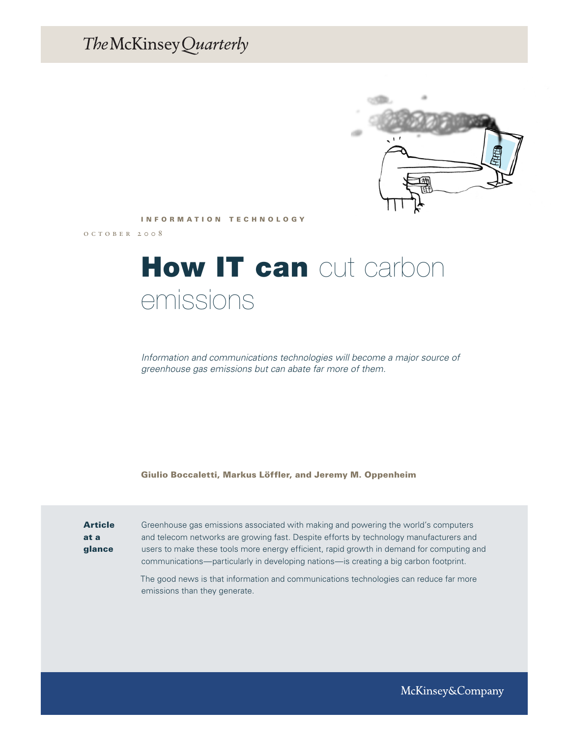## The McKinsey Quarterly



INFORMATION TECHNOLOGY

october 2008

# **How IT can** cut carbon emissions

*Information and communications technologies will become a major source of greenhouse gas emissions but can abate far more of them.* 

Giulio Boccaletti, Markus Löffler, and Jeremy M. Oppenheim

**Article** at a glance Greenhouse gas emissions associated with making and powering the world's computers and telecom networks are growing fast. Despite efforts by technology manufacturers and users to make these tools more energy efficient, rapid growth in demand for computing and communications—particularly in developing nations—is creating a big carbon footprint.

The good news is that information and communications technologies can reduce far more emissions than they generate.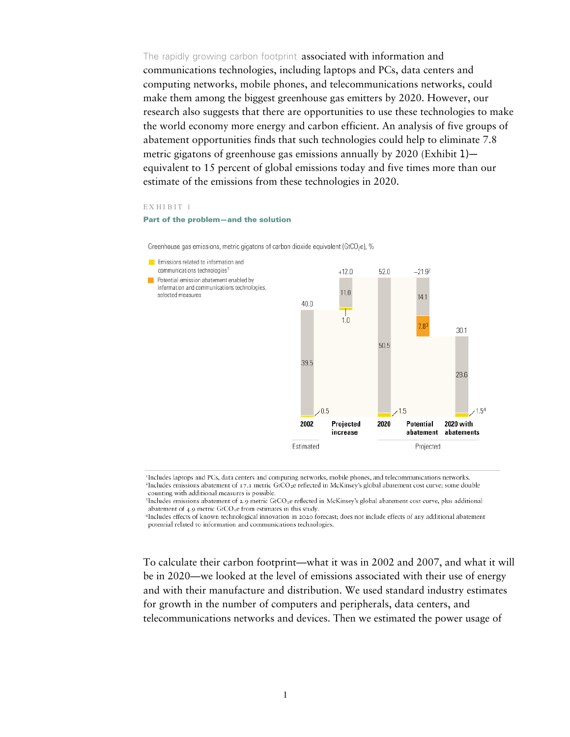The rapidly growing carbon footprint **associated with information and** communications technologies, including laptops and PCs, data centers and computing networks, mobile phones, and telecommunications networks, could make them among the biggest greenhouse gas emitters by 2020. However, our research also suggests that there are opportunities to use these technologies to make the world economy more energy and carbon efficient. An analysis of five groups of abatement opportunities finds that such technologies could help to eliminate 7.8 metric gigatons of greenhouse gas emissions annually by 2020 (Exhibit 1) equivalent to 15 percent of global emissions today and five times more than our estimate of the emissions from these technologies in 2020.

#### EX HIBIT 1

#### Part of the problem—and the solution

Greenhouse gas emissions, metric gigatons of carbon dioxide equivalent (GtCO<sub>2</sub>e), %



<sup>I</sup>Includes laptops and PCs, data centers and computing networks, mobile phones, and telecommunications networks. <sup>2</sup>Includes emissions abatement of 17.1 metric GtCO<sub>2</sub>e reflected in McKinsey's global abatement cost curve; some double counting with additional measures is possible.

<sup>3</sup>Includes emissions abatement of 2.9 metric GtCO<sub>2</sub>e reflected in McKinsey's global abatement cost curve, plus additional abatement of 4.9 metric GtCO<sub>2</sub>e from estimates in this study.

4Includes effects of known technological innovation in 2020 forecast; does not include effects of any additional abatement potential related to information and communications technologies.

To calculate their carbon footprint—what it was in 2002 and 2007, and what it will be in 2020—we looked at the level of emissions associated with their use of energy and with their manufacture and distribution. We used standard industry estimates for growth in the number of computers and peripherals, data centers, and telecommunications networks and devices. Then we estimated the power usage of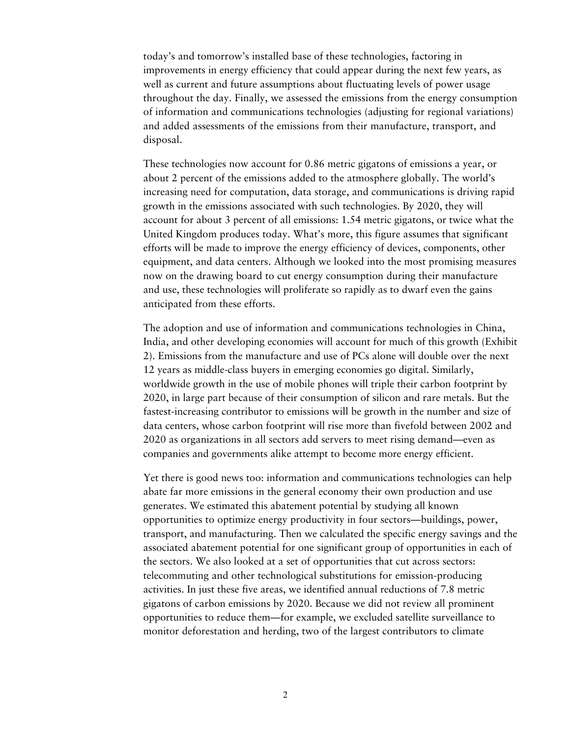today's and tomorrow's installed base of these technologies, factoring in improvements in energy efficiency that could appear during the next few years, as well as current and future assumptions about fluctuating levels of power usage throughout the day. Finally, we assessed the emissions from the energy consumption of information and communications technologies (adjusting for regional variations) and added assessments of the emissions from their manufacture, transport, and disposal.

These technologies now account for 0.86 metric gigatons of emissions a year, or about 2 percent of the emissions added to the atmosphere globally. The world's increasing need for computation, data storage, and communications is driving rapid growth in the emissions associated with such technologies. By 2020, they will account for about 3 percent of all emissions: 1.54 metric gigatons, or twice what the United Kingdom produces today. What's more, this figure assumes that significant efforts will be made to improve the energy efficiency of devices, components, other equipment, and data centers. Although we looked into the most promising measures now on the drawing board to cut energy consumption during their manufacture and use, these technologies will proliferate so rapidly as to dwarf even the gains anticipated from these efforts.

The adoption and use of information and communications technologies in China, India, and other developing economies will account for much of this growth (Exhibit 2). Emissions from the manufacture and use of PCs alone will double over the next 12 years as middle-class buyers in emerging economies go digital. Similarly, worldwide growth in the use of mobile phones will triple their carbon footprint by 2020, in large part because of their consumption of silicon and rare metals. But the fastest-increasing contributor to emissions will be growth in the number and size of data centers, whose carbon footprint will rise more than fivefold between 2002 and 2020 as organizations in all sectors add servers to meet rising demand—even as companies and governments alike attempt to become more energy efficient.

Yet there is good news too: information and communications technologies can help abate far more emissions in the general economy their own production and use generates. We estimated this abatement potential by studying all known opportunities to optimize energy productivity in four sectors—buildings, power, transport, and manufacturing. Then we calculated the specific energy savings and the associated abatement potential for one significant group of opportunities in each of the sectors. We also looked at a set of opportunities that cut across sectors: telecommuting and other technological substitutions for emission-producing activities. In just these five areas, we identified annual reductions of 7.8 metric gigatons of carbon emissions by 2020. Because we did not review all prominent opportunities to reduce them—for example, we excluded satellite surveillance to monitor deforestation and herding, two of the largest contributors to climate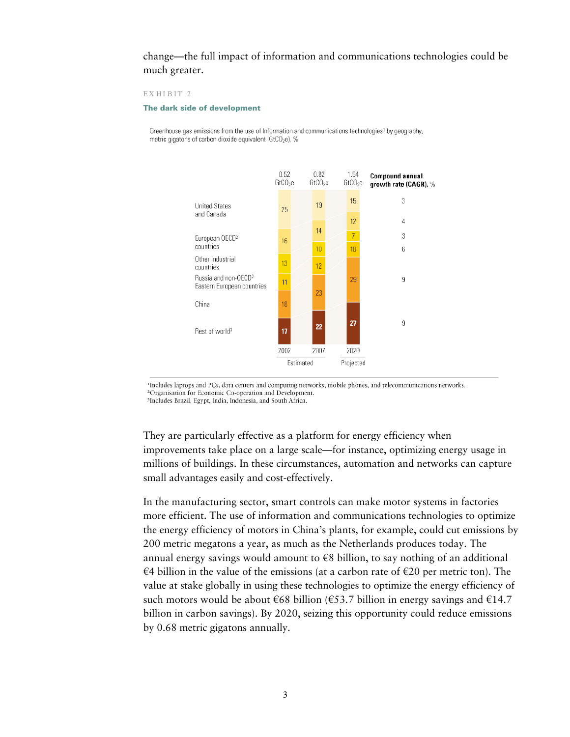change—the full impact of information and communications technologies could be much greater.

#### EX HIBIT 2

#### The dark side of development

Greenhouse gas emissions from the use of Information and communications technologies<sup>1</sup> by geography, metric gigatons of carbon dioxide equivalent (GtCO<sub>2</sub>e), %



<sup>1</sup>Includes laptops and PCs, data centers and computing networks, mobile phones, and telecommunications networks. <sup>2</sup>Organisation for Economic Co-operation and Development.

<sup>3</sup>Includes Brazil, Egypt, India, Indonesia, and South Africa.

They are particularly effective as a platform for energy efficiency when improvements take place on a large scale—for instance, optimizing energy usage in millions of buildings. In these circumstances, automation and networks can capture small advantages easily and cost-effectively.

In the manufacturing sector, smart controls can make motor systems in factories more efficient. The use of information and communications technologies to optimize the energy efficiency of motors in China's plants, for example, could cut emissions by 200 metric megatons a year, as much as the Netherlands produces today. The annual energy savings would amount to  $€8$  billion, to say nothing of an additional €4 billion in the value of the emissions (at a carbon rate of €20 per metric ton). The value at stake globally in using these technologies to optimize the energy efficiency of such motors would be about  $\epsilon$ 68 billion ( $\epsilon$ 53.7 billion in energy savings and  $\epsilon$ 14.7 billion in carbon savings). By 2020, seizing this opportunity could reduce emissions by 0.68 metric gigatons annually.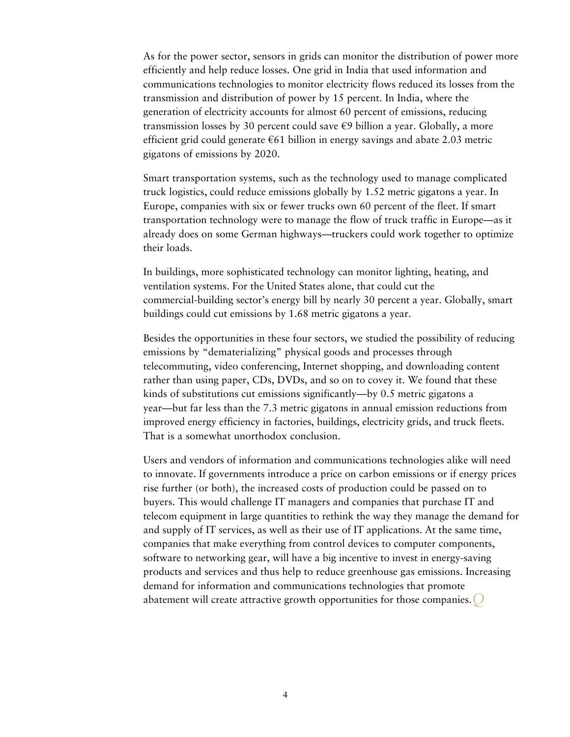As for the power sector, sensors in grids can monitor the distribution of power more efficiently and help reduce losses. One grid in India that used information and communications technologies to monitor electricity flows reduced its losses from the transmission and distribution of power by 15 percent. In India, where the generation of electricity accounts for almost 60 percent of emissions, reducing transmission losses by 30 percent could save €9 billion a year. Globally, a more efficient grid could generate  $\epsilon$ 61 billion in energy savings and abate 2.03 metric gigatons of emissions by 2020.

Smart transportation systems, such as the technology used to manage complicated truck logistics, could reduce emissions globally by 1.52 metric gigatons a year. In Europe, companies with six or fewer trucks own 60 percent of the fleet. If smart transportation technology were to manage the flow of truck traffic in Europe—as it already does on some German highways—truckers could work together to optimize their loads.

In buildings, more sophisticated technology can monitor lighting, heating, and ventilation systems. For the United States alone, that could cut the commercial-building sector's energy bill by nearly 30 percent a year. Globally, smart buildings could cut emissions by 1.68 metric gigatons a year.

Besides the opportunities in these four sectors, we studied the possibility of reducing emissions by "dematerializing" physical goods and processes through telecommuting, video conferencing, Internet shopping, and downloading content rather than using paper, CDs, DVDs, and so on to covey it. We found that these kinds of substitutions cut emissions significantly—by 0.5 metric gigatons a year—but far less than the 7.3 metric gigatons in annual emission reductions from improved energy efficiency in factories, buildings, electricity grids, and truck fleets. That is a somewhat unorthodox conclusion.

Users and vendors of information and communications technologies alike will need to innovate. If governments introduce a price on carbon emissions or if energy prices rise further (or both), the increased costs of production could be passed on to buyers. This would challenge IT managers and companies that purchase IT and telecom equipment in large quantities to rethink the way they manage the demand for and supply of IT services, as well as their use of IT applications. At the same time, companies that make everything from control devices to computer components, software to networking gear, will have a big incentive to invest in energy-saving products and services and thus help to reduce greenhouse gas emissions. Increasing demand for information and communications technologies that promote abatement will create attractive growth opportunities for those companies.